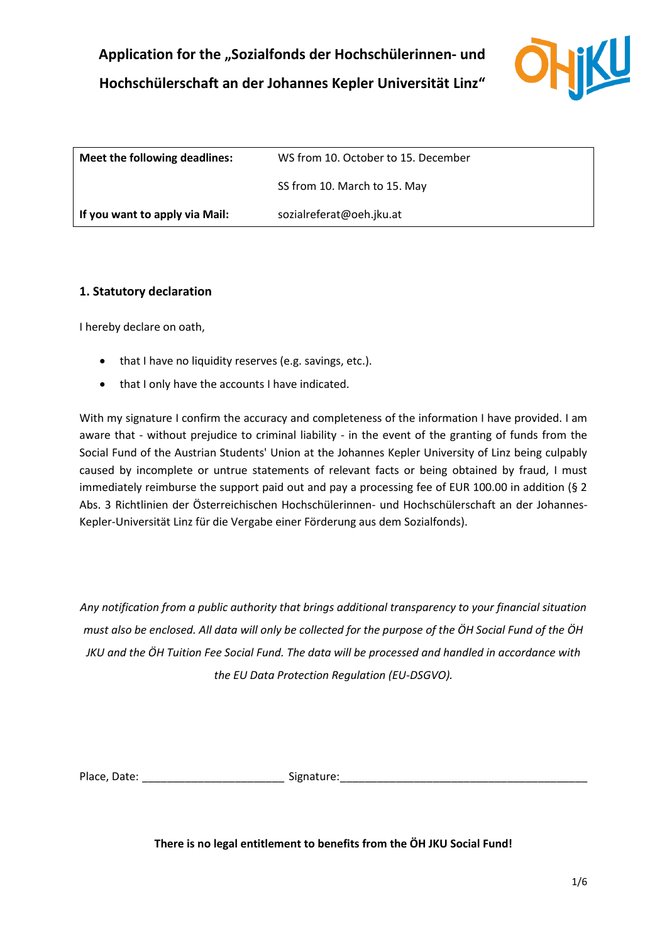

| Meet the following deadlines:  | WS from 10. October to 15. December |
|--------------------------------|-------------------------------------|
|                                | SS from 10. March to 15. May        |
| If you want to apply via Mail: | sozialreferat@oeh.jku.at            |

## **1. Statutory declaration**

I hereby declare on oath,

- that I have no liquidity reserves (e.g. savings, etc.).
- that I only have the accounts I have indicated.

With my signature I confirm the accuracy and completeness of the information I have provided. I am aware that - without prejudice to criminal liability - in the event of the granting of funds from the Social Fund of the Austrian Students' Union at the Johannes Kepler University of Linz being culpably caused by incomplete or untrue statements of relevant facts or being obtained by fraud, I must immediately reimburse the support paid out and pay a processing fee of EUR 100.00 in addition (§ 2 Abs. 3 Richtlinien der Österreichischen Hochschülerinnen- und Hochschülerschaft an der Johannes-Kepler-Universität Linz für die Vergabe einer Förderung aus dem Sozialfonds).

*Any notification from a public authority that brings additional transparency to your financial situation must also be enclosed. All data will only be collected for the purpose of the ÖH Social Fund of the ÖH JKU and the ÖH Tuition Fee Social Fund. The data will be processed and handled in accordance with the EU Data Protection Regulation (EU-DSGVO).*

Place, Date: \_\_\_\_\_\_\_\_\_\_\_\_\_\_\_\_\_\_\_\_\_\_\_\_\_\_\_\_\_\_\_\_\_\_Signature: \_\_\_\_\_\_\_\_\_\_\_\_\_\_\_\_\_\_\_\_\_\_

**There is no legal entitlement to benefits from the ÖH JKU Social Fund!**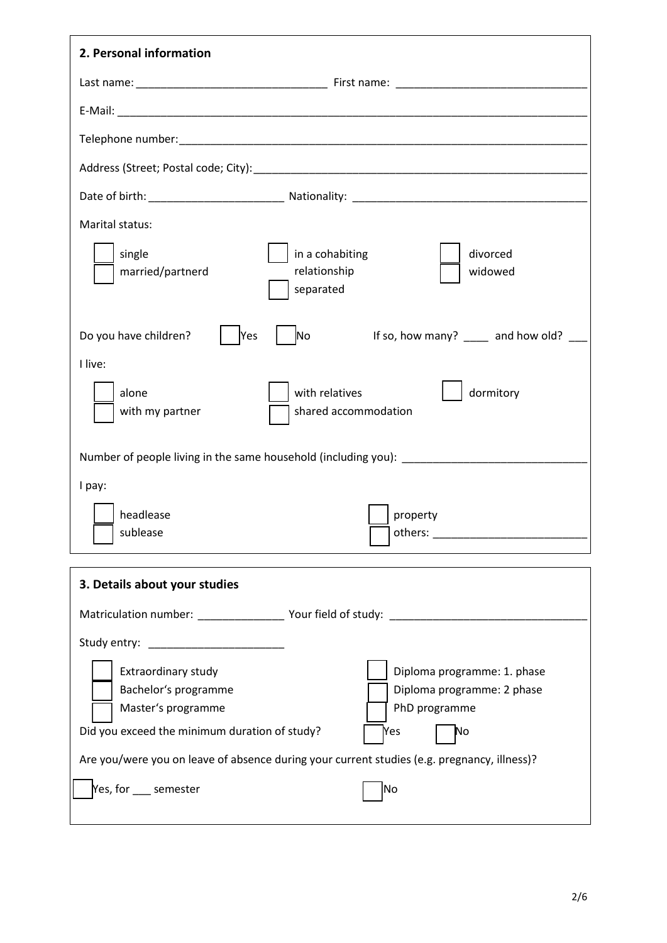| 2. Personal information                                                                                                                                                                                                                                                                                      |
|--------------------------------------------------------------------------------------------------------------------------------------------------------------------------------------------------------------------------------------------------------------------------------------------------------------|
|                                                                                                                                                                                                                                                                                                              |
|                                                                                                                                                                                                                                                                                                              |
|                                                                                                                                                                                                                                                                                                              |
|                                                                                                                                                                                                                                                                                                              |
|                                                                                                                                                                                                                                                                                                              |
| Marital status:                                                                                                                                                                                                                                                                                              |
| in a cohabiting<br>single<br>divorced<br>relationship<br>married/partnerd<br>widowed<br>separated                                                                                                                                                                                                            |
| If so, how many? ____ and how old? ___<br>Do you have children?<br>No<br>Yes                                                                                                                                                                                                                                 |
| I live:                                                                                                                                                                                                                                                                                                      |
| alone<br>with relatives<br>dormitory<br>shared accommodation<br>with my partner                                                                                                                                                                                                                              |
| Number of people living in the same household (including you): __________________                                                                                                                                                                                                                            |
| I pay:                                                                                                                                                                                                                                                                                                       |
| headlease<br>property<br>sublease                                                                                                                                                                                                                                                                            |
| 3. Details about your studies                                                                                                                                                                                                                                                                                |
| Matriculation number: __________________ Your field of study: _________________________                                                                                                                                                                                                                      |
| Study entry:                                                                                                                                                                                                                                                                                                 |
| Extraordinary study<br>Diploma programme: 1. phase<br>Bachelor's programme<br>Diploma programme: 2 phase<br>Master's programme<br>PhD programme<br>Did you exceed the minimum duration of study?<br>Yes<br>No<br>Are you/were you on leave of absence during your current studies (e.g. pregnancy, illness)? |
| Yes, for semester<br> No                                                                                                                                                                                                                                                                                     |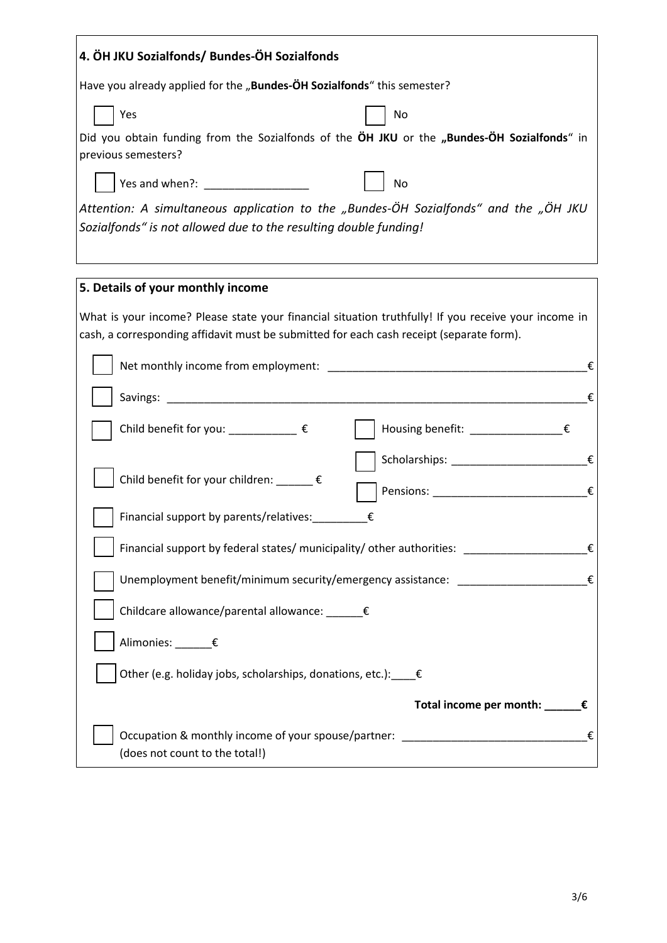| 4. ÖH JKU Sozialfonds/ Bundes-ÖH Sozialfonds                                                                                                                                                     |
|--------------------------------------------------------------------------------------------------------------------------------------------------------------------------------------------------|
| Have you already applied for the "Bundes-OH Sozialfonds" this semester?                                                                                                                          |
| Yes<br>No                                                                                                                                                                                        |
| Did you obtain funding from the Sozialfonds of the $\ddot{o}$ H JKU or the "Bundes- $\ddot{o}$ H Sozialfonds" in                                                                                 |
| previous semesters?                                                                                                                                                                              |
| Yes and when?: __________________<br><b>No</b>                                                                                                                                                   |
| Attention: A simultaneous application to the "Bundes-ÖH Sozialfonds" and the "ÖH JKU<br>Sozialfonds" is not allowed due to the resulting double funding!                                         |
|                                                                                                                                                                                                  |
|                                                                                                                                                                                                  |
| 5. Details of your monthly income                                                                                                                                                                |
| What is your income? Please state your financial situation truthfully! If you receive your income in<br>cash, a corresponding affidavit must be submitted for each cash receipt (separate form). |
| €                                                                                                                                                                                                |
|                                                                                                                                                                                                  |
| €                                                                                                                                                                                                |
| Housing benefit: _____________€<br>Child benefit for you: $\frac{1}{2}$ $\epsilon$                                                                                                               |
| €                                                                                                                                                                                                |
| Child benefit for your children: ______€<br>Pensions: __________________________________€                                                                                                        |
| Financial support by parents/relatives:<br>€                                                                                                                                                     |
| Financial support by federal states/ municipality/ other authorities:<br>€                                                                                                                       |
| Unemployment benefit/minimum security/emergency assistance: ____________________<br>€                                                                                                            |
|                                                                                                                                                                                                  |
| Childcare allowance/parental allowance: _____€                                                                                                                                                   |
| Alimonies: ______€                                                                                                                                                                               |
| Other (e.g. holiday jobs, scholarships, donations, etc.): $\epsilon$                                                                                                                             |
| Total income per month: _____€                                                                                                                                                                   |
| Occupation & monthly income of your spouse/partner: ____________________________<br>€                                                                                                            |
| (does not count to the total!)                                                                                                                                                                   |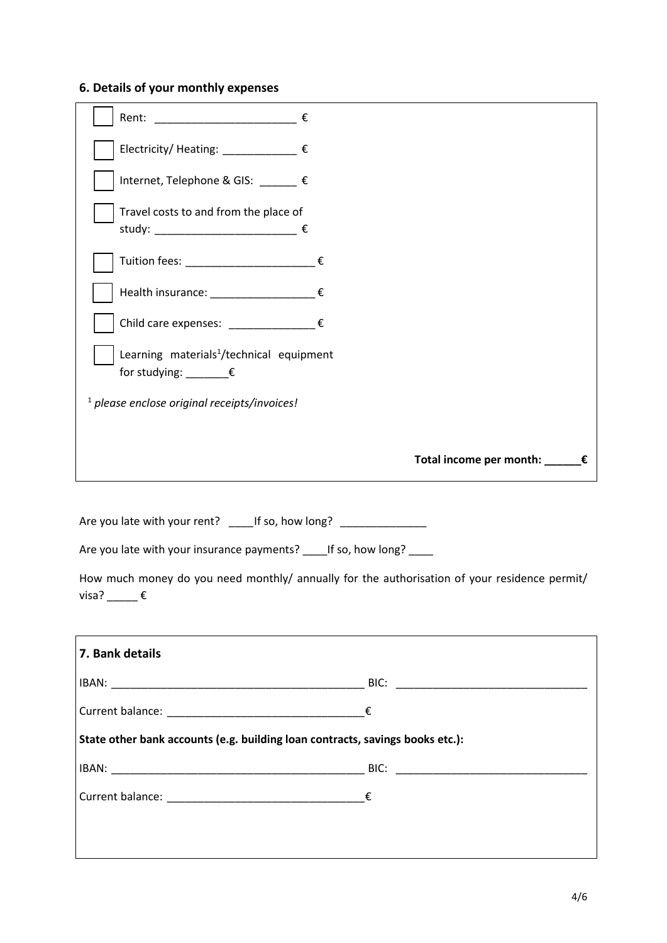# **6. Details of your monthly expenses**

|                                                                                                       | Total income per month: _____€ |
|-------------------------------------------------------------------------------------------------------|--------------------------------|
| <sup>1</sup> please enclose original receipts/invoices!                                               |                                |
| Learning materials <sup>1</sup> /technical equipment<br>for studying: $\rule{1em}{0.15mm}$ $\epsilon$ |                                |
| Child care expenses: $\epsilon$                                                                       |                                |
| Health insurance: ____________________€                                                               |                                |
|                                                                                                       |                                |
| Travel costs to and from the place of<br>study: _______________________________ €                     |                                |
| Internet, Telephone & GIS: _____ €                                                                    |                                |
| Electricity/ Heating: ___________ €                                                                   |                                |
| Rent: ____________________________ €                                                                  |                                |

Are you late with your rent? \_\_\_\_\_If so, how long? \_\_\_\_\_\_\_\_\_\_\_\_\_\_\_

Are you late with your insurance payments? \_\_\_\_\_If so, how long? \_\_\_\_\_

How much money do you need monthly/ annually for the authorisation of your residence permit/ visa?  $\rule{1em}{0.15mm}$   $\epsilon$ 

| 7. Bank details |                                                                               |  |
|-----------------|-------------------------------------------------------------------------------|--|
|                 |                                                                               |  |
|                 |                                                                               |  |
|                 | State other bank accounts (e.g. building loan contracts, savings books etc.): |  |
|                 |                                                                               |  |
|                 |                                                                               |  |
|                 |                                                                               |  |
|                 |                                                                               |  |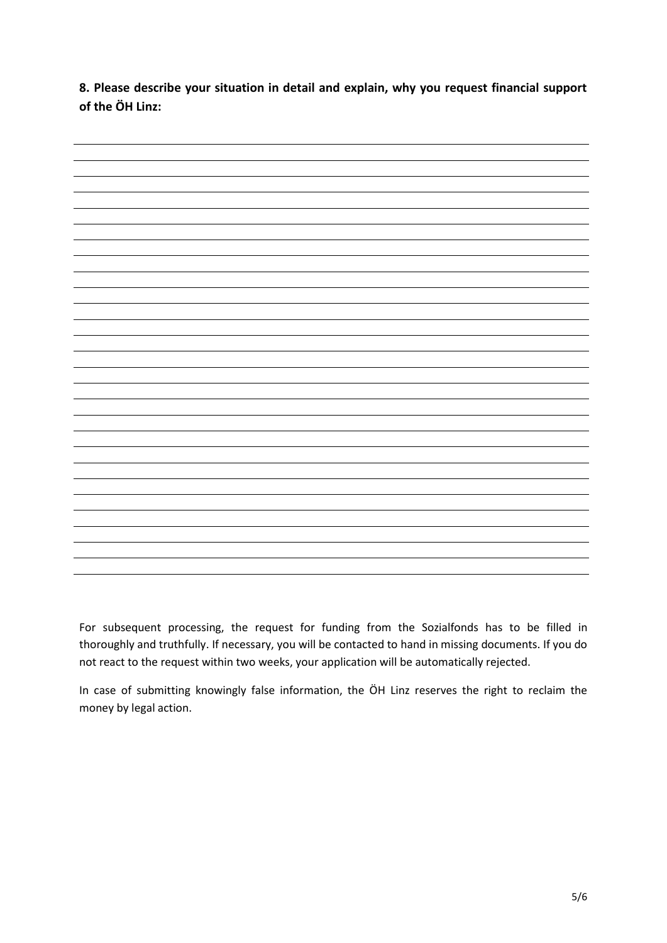**8. Please describe your situation in detail and explain, why you request financial support of the ÖH Linz:**



For subsequent processing, the request for funding from the Sozialfonds has to be filled in thoroughly and truthfully. If necessary, you will be contacted to hand in missing documents. If you do not react to the request within two weeks, your application will be automatically rejected.

In case of submitting knowingly false information, the ÖH Linz reserves the right to reclaim the money by legal action.